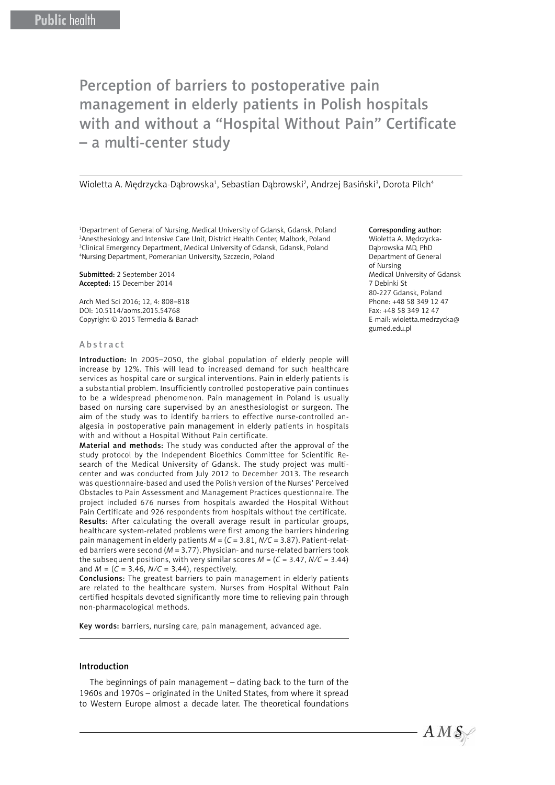# Perception of barriers to postoperative pain management in elderly patients in Polish hospitals with and without a "Hospital Without Pain" Certificate – a multi-center study

Wioletta A. Mędrzycka-Dąbrowska<sup>1</sup>, Sebastian Dąbrowski<sup>2</sup>, Andrzej Basiński<sup>3</sup>, Dorota Pilch<sup>4</sup>

 Department of General of Nursing, Medical University of Gdansk, Gdansk, Poland Anesthesiology and Intensive Care Unit, District Health Center, Malbork, Poland Clinical Emergency Department, Medical University of Gdansk, Gdansk, Poland Nursing Department, Pomeranian University, Szczecin, Poland

Submitted: 2 September 2014 Accepted: 15 December 2014

Arch Med Sci 2016; 12, 4: 808–818 DOI: 10.5114/aoms.2015.54768 Copyright © 2015 Termedia & Banach

#### Abstract

Introduction: In 2005–2050, the global population of elderly people will increase by 12%. This will lead to increased demand for such healthcare services as hospital care or surgical interventions. Pain in elderly patients is a substantial problem. Insufficiently controlled postoperative pain continues to be a widespread phenomenon. Pain management in Poland is usually based on nursing care supervised by an anesthesiologist or surgeon. The aim of the study was to identify barriers to effective nurse-controlled analgesia in postoperative pain management in elderly patients in hospitals with and without a Hospital Without Pain certificate.

Material and methods: The study was conducted after the approval of the study protocol by the Independent Bioethics Committee for Scientific Research of the Medical University of Gdansk. The study project was multicenter and was conducted from July 2012 to December 2013. The research was questionnaire-based and used the Polish version of the Nurses' Perceived Obstacles to Pain Assessment and Management Practices questionnaire. The project included 676 nurses from hospitals awarded the Hospital Without Pain Certificate and 926 respondents from hospitals without the certificate. Results: After calculating the overall average result in particular groups,

healthcare system-related problems were first among the barriers hindering pain management in elderly patients *M* = (*C* = 3.81, *N/C* = 3.87). Patient-related barriers were second (*M* = 3.77). Physician- and nurse-related barriers took the subsequent positions, with very similar scores  $M = (C = 3.47, N/C = 3.44)$ and  $M = (C = 3.46, N/C = 3.44)$ , respectively.

Conclusions: The greatest barriers to pain management in elderly patients are related to the healthcare system. Nurses from Hospital Without Pain certified hospitals devoted significantly more time to relieving pain through non-pharmacological methods.

Key words: barriers, nursing care, pain management, advanced age.

#### Introduction

The beginnings of pain management – dating back to the turn of the 1960s and 1970s – originated in the United States, from where it spread to Western Europe almost a decade later. The theoretical foundations

#### Corresponding author:

Wioletta A. Mędrzycka-Dąbrowska MD, PhD Department of General of Nursing Medical University of Gdansk 7 Debinki St 80-227 Gdansk, Poland Phone: +48 58 349 12 47 Fax: +48 58 349 12 47 E-mail: wioletta.medrzycka@ gumed.edu.pl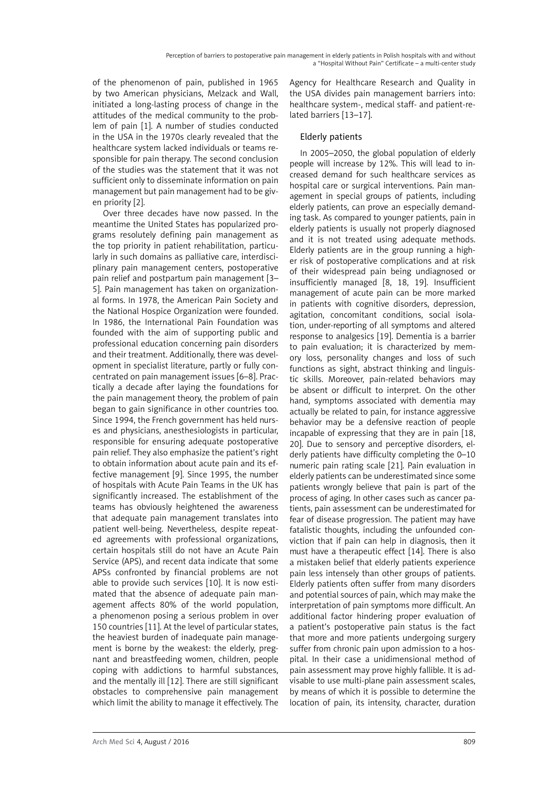of the phenomenon of pain, published in 1965 by two American physicians, Melzack and Wall, initiated a long-lasting process of change in the attitudes of the medical community to the problem of pain [1]. A number of studies conducted in the USA in the 1970s clearly revealed that the healthcare system lacked individuals or teams responsible for pain therapy. The second conclusion of the studies was the statement that it was not sufficient only to disseminate information on pain management but pain management had to be given priority [2].

Over three decades have now passed. In the meantime the United States has popularized programs resolutely defining pain management as the top priority in patient rehabilitation, particularly in such domains as palliative care, interdisciplinary pain management centers, postoperative pain relief and postpartum pain management [3– 5]. Pain management has taken on organizational forms. In 1978, the American Pain Society and the National Hospice Organization were founded. In 1986, the International Pain Foundation was founded with the aim of supporting public and professional education concerning pain disorders and their treatment. Additionally, there was development in specialist literature, partly or fully concentrated on pain management issues [6–8]. Practically a decade after laying the foundations for the pain management theory, the problem of pain began to gain significance in other countries too. Since 1994, the French government has held nurses and physicians, anesthesiologists in particular, responsible for ensuring adequate postoperative pain relief. They also emphasize the patient's right to obtain information about acute pain and its effective management [9]. Since 1995, the number of hospitals with Acute Pain Teams in the UK has significantly increased. The establishment of the teams has obviously heightened the awareness that adequate pain management translates into patient well-being. Nevertheless, despite repeated agreements with professional organizations, certain hospitals still do not have an Acute Pain Service (APS), and recent data indicate that some APSs confronted by financial problems are not able to provide such services [10]. It is now estimated that the absence of adequate pain management affects 80% of the world population, a phenomenon posing a serious problem in over 150 countries [11]. At the level of particular states, the heaviest burden of inadequate pain management is borne by the weakest: the elderly, pregnant and breastfeeding women, children, people coping with addictions to harmful substances, and the mentally ill [12]. There are still significant obstacles to comprehensive pain management which limit the ability to manage it effectively. The Agency for Healthcare Research and Quality in the USA divides pain management barriers into: healthcare system-, medical staff- and patient-related barriers [13–17].

# Elderly patients

In 2005–2050, the global population of elderly people will increase by 12%. This will lead to increased demand for such healthcare services as hospital care or surgical interventions. Pain management in special groups of patients, including elderly patients, can prove an especially demanding task. As compared to younger patients, pain in elderly patients is usually not properly diagnosed and it is not treated using adequate methods. Elderly patients are in the group running a higher risk of postoperative complications and at risk of their widespread pain being undiagnosed or insufficiently managed [8, 18, 19]. Insufficient management of acute pain can be more marked in patients with cognitive disorders, depression, agitation, concomitant conditions, social isolation, under-reporting of all symptoms and altered response to analgesics [19]. Dementia is a barrier to pain evaluation; it is characterized by memory loss, personality changes and loss of such functions as sight, abstract thinking and linguistic skills. Moreover, pain-related behaviors may be absent or difficult to interpret. On the other hand, symptoms associated with dementia may actually be related to pain, for instance aggressive behavior may be a defensive reaction of people incapable of expressing that they are in pain [18, 20]. Due to sensory and perceptive disorders, elderly patients have difficulty completing the 0–10 numeric pain rating scale [21]. Pain evaluation in elderly patients can be underestimated since some patients wrongly believe that pain is part of the process of aging. In other cases such as cancer patients, pain assessment can be underestimated for fear of disease progression. The patient may have fatalistic thoughts, including the unfounded conviction that if pain can help in diagnosis, then it must have a therapeutic effect [14]. There is also a mistaken belief that elderly patients experience pain less intensely than other groups of patients. Elderly patients often suffer from many disorders and potential sources of pain, which may make the interpretation of pain symptoms more difficult. An additional factor hindering proper evaluation of a patient's postoperative pain status is the fact that more and more patients undergoing surgery suffer from chronic pain upon admission to a hospital. In their case a unidimensional method of pain assessment may prove highly fallible. It is advisable to use multi-plane pain assessment scales, by means of which it is possible to determine the location of pain, its intensity, character, duration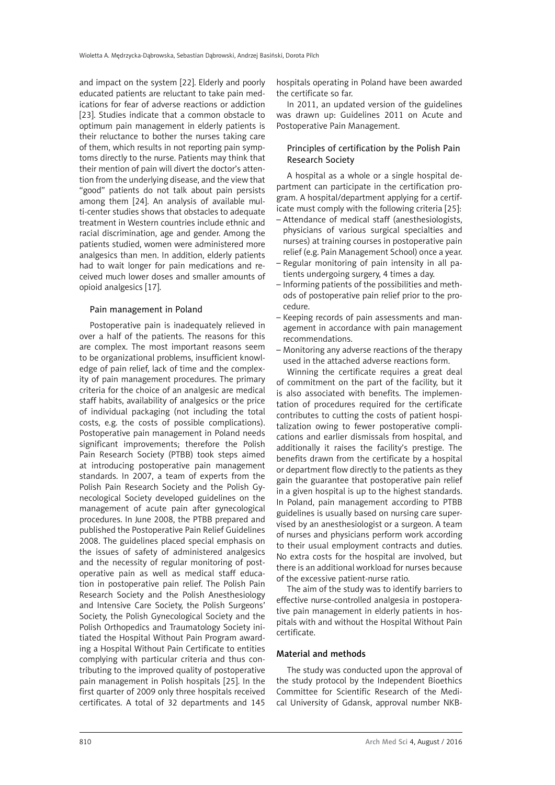and impact on the system [22]. Elderly and poorly educated patients are reluctant to take pain medications for fear of adverse reactions or addiction [23]. Studies indicate that a common obstacle to optimum pain management in elderly patients is their reluctance to bother the nurses taking care of them, which results in not reporting pain symptoms directly to the nurse. Patients may think that their mention of pain will divert the doctor's attention from the underlying disease, and the view that "good" patients do not talk about pain persists among them [24]. An analysis of available multi-center studies shows that obstacles to adequate treatment in Western countries include ethnic and racial discrimination, age and gender. Among the patients studied, women were administered more analgesics than men. In addition, elderly patients had to wait longer for pain medications and received much lower doses and smaller amounts of opioid analgesics [17].

## Pain management in Poland

Postoperative pain is inadequately relieved in over a half of the patients. The reasons for this are complex. The most important reasons seem to be organizational problems, insufficient knowledge of pain relief, lack of time and the complexity of pain management procedures. The primary criteria for the choice of an analgesic are medical staff habits, availability of analgesics or the price of individual packaging (not including the total costs, e.g. the costs of possible complications). Postoperative pain management in Poland needs significant improvements; therefore the Polish Pain Research Society (PTBB) took steps aimed at introducing postoperative pain management standards. In 2007, a team of experts from the Polish Pain Research Society and the Polish Gynecological Society developed guidelines on the management of acute pain after gynecological procedures. In June 2008, the PTBB prepared and published the Postoperative Pain Relief Guidelines 2008. The guidelines placed special emphasis on the issues of safety of administered analgesics and the necessity of regular monitoring of postoperative pain as well as medical staff education in postoperative pain relief. The Polish Pain Research Society and the Polish Anesthesiology and Intensive Care Society, the Polish Surgeons' Society, the Polish Gynecological Society and the Polish Orthopedics and Traumatology Society initiated the Hospital Without Pain Program awarding a Hospital Without Pain Certificate to entities complying with particular criteria and thus contributing to the improved quality of postoperative pain management in Polish hospitals [25]. In the first quarter of 2009 only three hospitals received certificates. A total of 32 departments and 145

hospitals operating in Poland have been awarded the certificate so far.

In 2011, an updated version of the guidelines was drawn up: Guidelines 2011 on Acute and Postoperative Pain Management.

## Principles of certification by the Polish Pain Research Society

A hospital as a whole or a single hospital department can participate in the certification program. A hospital/department applying for a certificate must comply with the following criteria [25]: – Attendance of medical staff (anesthesiologists, physicians of various surgical specialties and

- nurses) at training courses in postoperative pain relief (e.g. Pain Management School) once a year. – Regular monitoring of pain intensity in all pa-
- tients undergoing surgery, 4 times a day.
- Informing patients of the possibilities and methods of postoperative pain relief prior to the procedure.
- Keeping records of pain assessments and management in accordance with pain management recommendations.
- Monitoring any adverse reactions of the therapy used in the attached adverse reactions form.

Winning the certificate requires a great deal of commitment on the part of the facility, but it is also associated with benefits. The implementation of procedures required for the certificate contributes to cutting the costs of patient hospitalization owing to fewer postoperative complications and earlier dismissals from hospital, and additionally it raises the facility's prestige. The benefits drawn from the certificate by a hospital or department flow directly to the patients as they gain the guarantee that postoperative pain relief in a given hospital is up to the highest standards. In Poland, pain management according to PTBB guidelines is usually based on nursing care supervised by an anesthesiologist or a surgeon. A team of nurses and physicians perform work according to their usual employment contracts and duties. No extra costs for the hospital are involved, but there is an additional workload for nurses because of the excessive patient-nurse ratio.

The aim of the study was to identify barriers to effective nurse-controlled analgesia in postoperative pain management in elderly patients in hospitals with and without the Hospital Without Pain certificate.

## Material and methods

The study was conducted upon the approval of the study protocol by the Independent Bioethics Committee for Scientific Research of the Medical University of Gdansk, approval number NKB-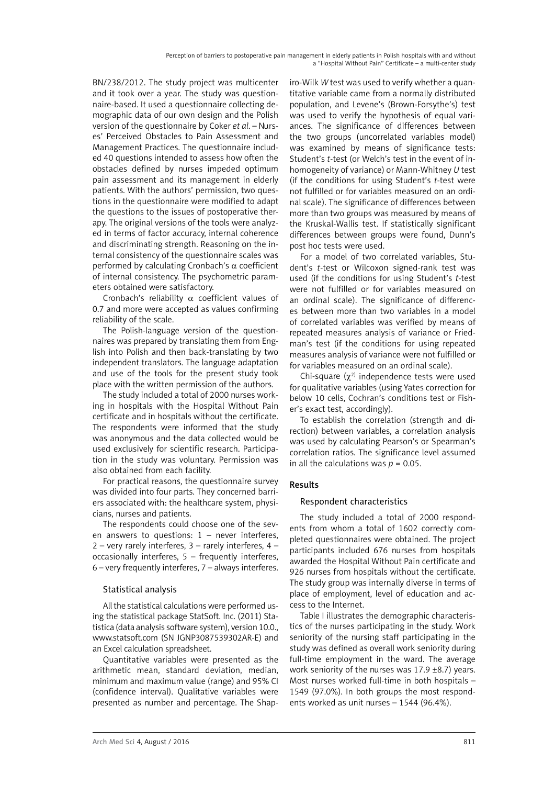BN/238/2012. The study project was multicenter and it took over a year. The study was questionnaire-based. It used a questionnaire collecting demographic data of our own design and the Polish version of the questionnaire by Coker *et al*. – Nurses' Perceived Obstacles to Pain Assessment and Management Practices. The questionnaire included 40 questions intended to assess how often the obstacles defined by nurses impeded optimum pain assessment and its management in elderly patients. With the authors' permission, two questions in the questionnaire were modified to adapt the questions to the issues of postoperative therapy. The original versions of the tools were analyzed in terms of factor accuracy, internal coherence and discriminating strength. Reasoning on the internal consistency of the questionnaire scales was performed by calculating Cronbach's  $\alpha$  coefficient of internal consistency. The psychometric parameters obtained were satisfactory.

Cronbach's reliability  $\alpha$  coefficient values of 0.7 and more were accepted as values confirming reliability of the scale.

The Polish-language version of the questionnaires was prepared by translating them from English into Polish and then back-translating by two independent translators. The language adaptation and use of the tools for the present study took place with the written permission of the authors.

The study included a total of 2000 nurses working in hospitals with the Hospital Without Pain certificate and in hospitals without the certificate. The respondents were informed that the study was anonymous and the data collected would be used exclusively for scientific research. Participation in the study was voluntary. Permission was also obtained from each facility.

For practical reasons, the questionnaire survey was divided into four parts. They concerned barriers associated with: the healthcare system, physicians, nurses and patients.

The respondents could choose one of the seven answers to questions:  $1 -$  never interferes,  $2$  – very rarely interferes,  $3$  – rarely interferes,  $4$  – occasionally interferes, 5 – frequently interferes, 6 – very frequently interferes, 7 – always interferes.

## Statistical analysis

All the statistical calculations were performed using the statistical package StatSoft. Inc. (2011) Statistica (data analysis software system), version 10.0., www.statsoft.com (SN JGNP3087539302AR-E) and an Excel calculation spreadsheet.

Quantitative variables were presented as the arithmetic mean, standard deviation, median, minimum and maximum value (range) and 95% CI (confidence interval). Qualitative variables were presented as number and percentage. The Shapiro-Wilk *W* test was used to verify whether a quantitative variable came from a normally distributed population, and Levene's (Brown-Forsythe's) test was used to verify the hypothesis of equal variances. The significance of differences between the two groups (uncorrelated variables model) was examined by means of significance tests: Student's *t*-test (or Welch's test in the event of inhomogeneity of variance) or Mann-Whitney *U* test (if the conditions for using Student's *t*-test were not fulfilled or for variables measured on an ordinal scale). The significance of differences between more than two groups was measured by means of the Kruskal-Wallis test. If statistically significant differences between groups were found, Dunn's post hoc tests were used.

For a model of two correlated variables, Student's *t*-test or Wilcoxon signed-rank test was used (if the conditions for using Student's *t*-test were not fulfilled or for variables measured on an ordinal scale). The significance of differences between more than two variables in a model of correlated variables was verified by means of repeated measures analysis of variance or Friedman's test (if the conditions for using repeated measures analysis of variance were not fulfilled or for variables measured on an ordinal scale).

Chi-square  $(\chi^2)$  independence tests were used for qualitative variables (using Yates correction for below 10 cells, Cochran's conditions test or Fisher's exact test, accordingly).

To establish the correlation (strength and direction) between variables, a correlation analysis was used by calculating Pearson's or Spearman's correlation ratios. The significance level assumed in all the calculations was  $p = 0.05$ .

# Results

## Respondent characteristics

The study included a total of 2000 respondents from whom a total of 1602 correctly completed questionnaires were obtained. The project participants included 676 nurses from hospitals awarded the Hospital Without Pain certificate and 926 nurses from hospitals without the certificate. The study group was internally diverse in terms of place of employment, level of education and access to the Internet.

Table I illustrates the demographic characteristics of the nurses participating in the study. Work seniority of the nursing staff participating in the study was defined as overall work seniority during full-time employment in the ward. The average work seniority of the nurses was 17.9 ±8.7) years. Most nurses worked full-time in both hospitals – 1549 (97.0%). In both groups the most respondents worked as unit nurses – 1544 (96.4%).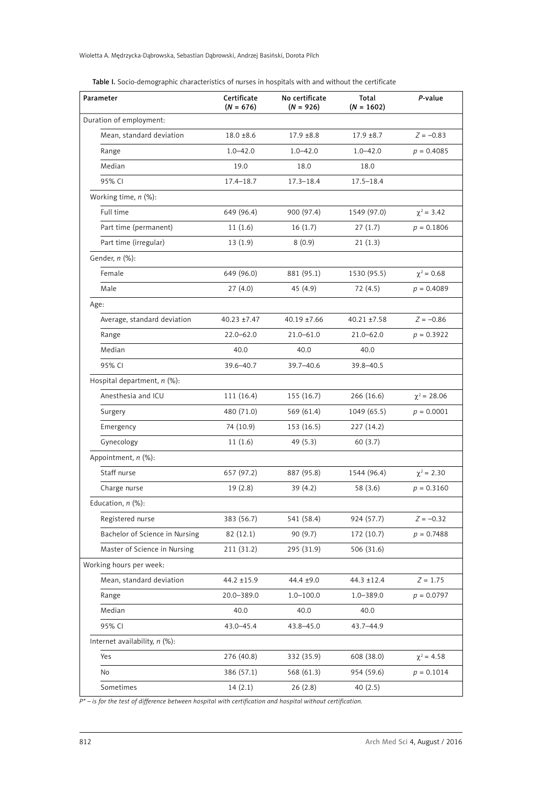Wioletta A. Mędrzycka-Dąbrowska, Sebastian Dąbrowski, Andrzej Basiński, Dorota Pilch

| Parameter                       | Certificate<br>$(N = 676)$ | No certificate<br>$(N = 926)$ | Total<br>$(N = 1602)$ | P-value          |  |  |
|---------------------------------|----------------------------|-------------------------------|-----------------------|------------------|--|--|
| Duration of employment:         |                            |                               |                       |                  |  |  |
| Mean, standard deviation        | $18.0 \pm 8.6$             | $17.9 \pm 8.8$                | $17.9 \pm 8.7$        | $Z = -0.83$      |  |  |
| Range                           | $1.0 - 42.0$               | $1.0 - 42.0$                  | $1.0 - 42.0$          | $p = 0.4085$     |  |  |
| Median                          | 19.0                       | 18.0                          | 18.0                  |                  |  |  |
| 95% CI                          | $17.4 - 18.7$              | $17.3 - 18.4$                 | $17.5 - 18.4$         |                  |  |  |
| Working time, n (%):            |                            |                               |                       |                  |  |  |
| Full time                       | 649 (96.4)                 | 900 (97.4)                    | 1549 (97.0)           | $\chi^2$ = 3.42  |  |  |
| Part time (permanent)           | 11 (1.6)                   | 16(1.7)                       | 27(1.7)               | $p = 0.1806$     |  |  |
| Part time (irregular)           | 13(1.9)                    | 8(0.9)                        | 21(1.3)               |                  |  |  |
| Gender, n (%):                  |                            |                               |                       |                  |  |  |
| Female                          | 649 (96.0)                 | 881 (95.1)                    | 1530 (95.5)           | $\chi^2 = 0.68$  |  |  |
| Male                            | 27(4.0)                    | 45 (4.9)                      | 72 (4.5)              | $p = 0.4089$     |  |  |
| Age:                            |                            |                               |                       |                  |  |  |
| Average, standard deviation     | $40.23 \pm 7.47$           | 40.19 ±7.66                   | $40.21 \pm 7.58$      | $Z = -0.86$      |  |  |
| Range                           | $22.0 - 62.0$              | $21.0 - 61.0$                 | 21.0-62.0             | $p = 0.3922$     |  |  |
| Median                          | 40.0                       | 40.0                          | 40.0                  |                  |  |  |
| 95% CI                          | 39.6-40.7                  | 39.7-40.6                     | 39.8-40.5             |                  |  |  |
| Hospital department, $n$ (%):   |                            |                               |                       |                  |  |  |
| Anesthesia and ICU              | 111 (16.4)                 | 155 (16.7)                    | 266 (16.6)            | $\chi^2$ = 28.06 |  |  |
| Surgery                         | 480 (71.0)                 | 569 (61.4)                    | 1049 (65.5)           | $p = 0.0001$     |  |  |
| Emergency                       | 74 (10.9)                  | 153 (16.5)                    | 227 (14.2)            |                  |  |  |
| Gynecology                      | 11(1.6)                    | 49 (5.3)                      | 60(3.7)               |                  |  |  |
| Appointment, n (%):             |                            |                               |                       |                  |  |  |
| Staff nurse                     | 657 (97.2)                 | 887 (95.8)                    | 1544 (96.4)           | $\chi^2$ = 2.30  |  |  |
| Charge nurse                    | 19(2.8)                    | 39(4.2)                       | 58 (3.6)              | $p = 0.3160$     |  |  |
| Education, $n$ (%):             |                            |                               |                       |                  |  |  |
| Registered nurse                | 383 (56.7)                 | 541 (58.4)                    | 924 (57.7)            | $Z = -0.32$      |  |  |
| Bachelor of Science in Nursing  | 82(12.1)                   | 90 (9.7)                      | 172 (10.7)            | $p = 0.7488$     |  |  |
| Master of Science in Nursing    | 211 (31.2)                 | 295 (31.9)                    | 506 (31.6)            |                  |  |  |
| Working hours per week:         |                            |                               |                       |                  |  |  |
| Mean, standard deviation        | 44.2 ±15.9                 | $44.4 \pm 9.0$                | $44.3 \pm 12.4$       | $Z = 1.75$       |  |  |
| Range                           | 20.0-389.0                 | $1.0 - 100.0$                 | $1.0 - 389.0$         | $p = 0.0797$     |  |  |
| Median                          | 40.0                       | 40.0                          | 40.0                  |                  |  |  |
| 95% CI                          | 43.0-45.4                  | 43.8-45.0                     | 43.7-44.9             |                  |  |  |
| Internet availability, $n$ (%): |                            |                               |                       |                  |  |  |
| Yes                             | 276 (40.8)                 | 332 (35.9)                    | 608 (38.0)            | $\chi^2$ = 4.58  |  |  |
| No                              | 386 (57.1)                 | 568 (61.3)                    | 954 (59.6)            | $p = 0.1014$     |  |  |
| Sometimes                       | 14(2.1)                    | 26(2.8)                       | 40(2.5)               |                  |  |  |

*P\* – is for the test of difference between hospital with certification and hospital without certification.*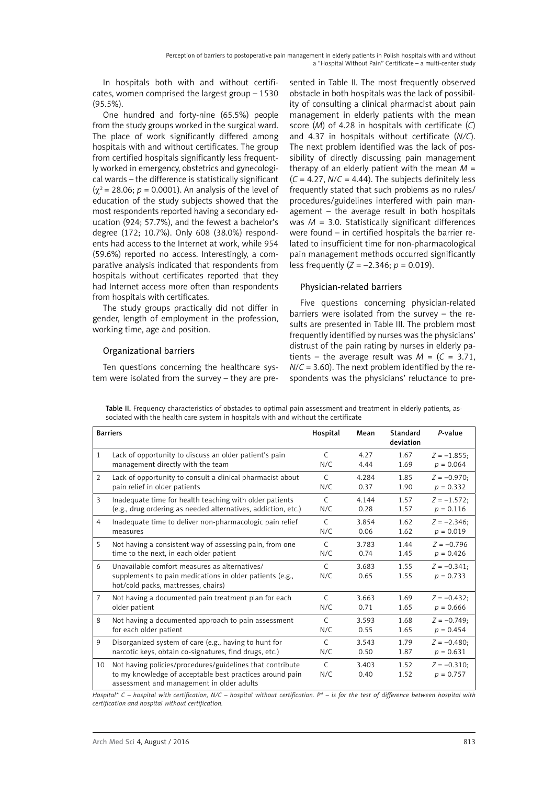In hospitals both with and without certificates, women comprised the largest group – 1530 (95.5%).

One hundred and forty-nine (65.5%) people from the study groups worked in the surgical ward. The place of work significantly differed among hospitals with and without certificates. The group from certified hospitals significantly less frequently worked in emergency, obstetrics and gynecological wards – the difference is statistically significant  $(y^2 = 28.06; p = 0.0001)$ . An analysis of the level of education of the study subjects showed that the most respondents reported having a secondary education (924; 57.7%), and the fewest a bachelor's degree (172; 10.7%). Only 608 (38.0%) respondents had access to the Internet at work, while 954 (59.6%) reported no access. Interestingly, a comparative analysis indicated that respondents from hospitals without certificates reported that they had Internet access more often than respondents from hospitals with certificates.

The study groups practically did not differ in gender, length of employment in the profession, working time, age and position.

## Organizational barriers

Ten questions concerning the healthcare system were isolated from the survey – they are presented in Table II. The most frequently observed obstacle in both hospitals was the lack of possibility of consulting a clinical pharmacist about pain management in elderly patients with the mean score (*M*) of 4.28 in hospitals with certificate (*C*) and 4.37 in hospitals without certificate (*N/C*). The next problem identified was the lack of possibility of directly discussing pain management therapy of an elderly patient with the mean  $M =$  $(C = 4.27, N/C = 4.44)$ . The subjects definitely less frequently stated that such problems as no rules/ procedures/guidelines interfered with pain management – the average result in both hospitals was *M* = 3.0. Statistically significant differences were found – in certified hospitals the barrier related to insufficient time for non-pharmacological pain management methods occurred significantly less frequently (*Z* = –2.346; *p* = 0.019).

## Physician-related barriers

Five questions concerning physician-related barriers were isolated from the survey – the results are presented in Table III. The problem most frequently identified by nurses was the physicians' distrust of the pain rating by nurses in elderly patients – the average result was  $M = (C = 3.71,$  $N/C = 3.60$ ). The next problem identified by the respondents was the physicians' reluctance to pre-

Table II. Frequency characteristics of obstacles to optimal pain assessment and treatment in elderly patients, associated with the health care system in hospitals with and without the certificate

|                | <b>Barriers</b>                                                                                                                                                    | Hospital            | Mean          | Standard<br>deviation | P-value                       |
|----------------|--------------------------------------------------------------------------------------------------------------------------------------------------------------------|---------------------|---------------|-----------------------|-------------------------------|
| $\mathbf{1}$   | Lack of opportunity to discuss an older patient's pain                                                                                                             | $\mathsf{C}$        | 4.27          | 1.67                  | $Z = -1.855$ ;                |
|                | management directly with the team                                                                                                                                  | N/C                 | 4.44          | 1.69                  | $p = 0.064$                   |
| $\overline{2}$ | Lack of opportunity to consult a clinical pharmacist about                                                                                                         | $\subset$           | 4.284         | 1.85                  | $Z = -0.970$                  |
|                | pain relief in older patients                                                                                                                                      | N/C                 | 0.37          | 1.90                  | $p = 0.332$                   |
| 3              | Inadequate time for health teaching with older patients                                                                                                            | $\mathsf{C}$        | 4.144         | 1.57                  | $Z = -1.572$                  |
|                | (e.g., drug ordering as needed alternatives, addiction, etc.)                                                                                                      | N/C                 | 0.28          | 1.57                  | $p = 0.116$                   |
| $\overline{4}$ | Inadequate time to deliver non-pharmacologic pain relief                                                                                                           | $\mathcal{C}$       | 3.854         | 1.62                  | $Z = -2.346$                  |
|                | measures                                                                                                                                                           | N/C                 | 0.06          | 1.62                  | $p = 0.019$                   |
| 5              | Not having a consistent way of assessing pain, from one                                                                                                            | $\mathcal{C}$       | 3.783         | 1.44                  | $Z = -0.796$                  |
|                | time to the next, in each older patient                                                                                                                            | N/C                 | 0.74          | 1.45                  | $p = 0.426$                   |
| 6              | Unavailable comfort measures as alternatives/<br>supplements to pain medications in older patients (e.g.,<br>hot/cold packs, mattresses, chairs)                   | $\mathsf{C}$<br>N/C | 3.683<br>0.65 | 1.55<br>1.55          | $Z = -0.341$ :<br>$p = 0.733$ |
| $\overline{7}$ | Not having a documented pain treatment plan for each                                                                                                               | $\mathsf{C}$        | 3.663         | 1.69                  | $Z = -0.432$ ;                |
|                | older patient                                                                                                                                                      | N/C                 | 0.71          | 1.65                  | $p = 0.666$                   |
| 8              | Not having a documented approach to pain assessment                                                                                                                | $\subset$           | 3.593         | 1.68                  | $Z = -0.749$                  |
|                | for each older patient                                                                                                                                             | N/C                 | 0.55          | 1.65                  | $p = 0.454$                   |
| 9              | Disorganized system of care (e.g., having to hunt for                                                                                                              | $\mathsf{C}$        | 3.543         | 1.79                  | $Z = -0.480$                  |
|                | narcotic keys, obtain co-signatures, find drugs, etc.)                                                                                                             | N/C                 | 0.50          | 1.87                  | $p = 0.631$                   |
| 10             | Not having policies/procedures/guidelines that contribute<br>to my knowledge of acceptable best practices around pain<br>assessment and management in older adults | $\mathsf{C}$<br>N/C | 3.403<br>0.40 | 1.52<br>1.52          | $Z = -0.310$ ;<br>$p = 0.757$ |

*Hospital\* C – hospital with certification, N/C – hospital without certification. P\* – is for the test of difference between hospital with certification and hospital without certification.*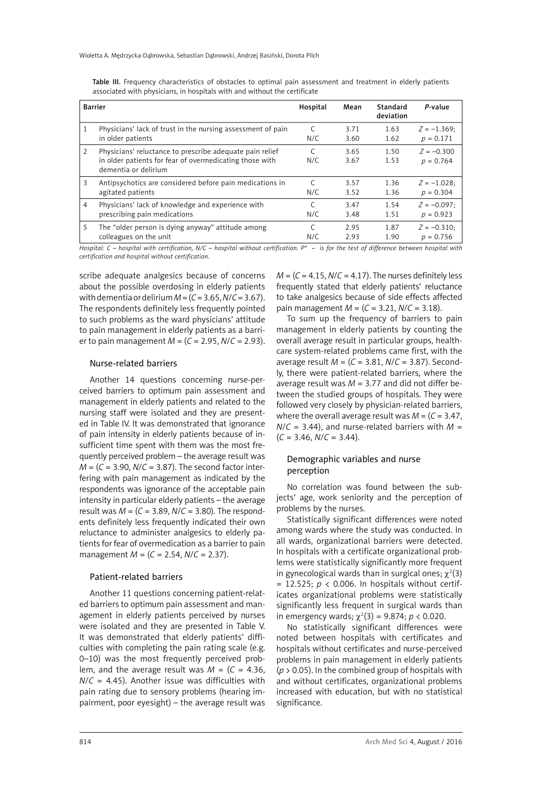|   | <b>Barrier</b>                                                                                                                              | Hospital         | Mean         | Standard<br>deviation | P-value                     |
|---|---------------------------------------------------------------------------------------------------------------------------------------------|------------------|--------------|-----------------------|-----------------------------|
| 1 | Physicians' lack of trust in the nursing assessment of pain                                                                                 | C                | 3.71         | 1.63                  | $Z = -1.369$                |
|   | in older patients                                                                                                                           | N/C              | 3.60         | 1.62                  | $p = 0.171$                 |
| 2 | Physicians' reluctance to prescribe adequate pain relief<br>in older patients for fear of overmedicating those with<br>dementia or delirium | $\subset$<br>N/C | 3.65<br>3.67 | 1.50<br>1.53          | $Z = -0.300$<br>$p = 0.764$ |
| 3 | Antipsychotics are considered before pain medications in                                                                                    | C                | 3.57         | 1.36                  | $Z = -1.028$                |
|   | agitated patients                                                                                                                           | N/C              | 3.52         | 1.36                  | $p = 0.304$                 |
| 4 | Physicians' lack of knowledge and experience with                                                                                           | C                | 3.47         | 1.54                  | $Z = -0.097$                |
|   | prescribing pain medications                                                                                                                | N/C              | 3.48         | 1.51                  | $p = 0.923$                 |
| 5 | The "older person is dying anyway" attitude among<br>colleagues on the unit                                                                 | N/C              | 2.95<br>2.93 | 1.87<br>1.90          | $Z = -0.310$<br>$p = 0.756$ |

Table III. Frequency characteristics of obstacles to optimal pain assessment and treatment in elderly patients associated with physicians, in hospitals with and without the certificate

*Hospital: C – hospital with certification, N/C – hospital without certification. P\* – is for the test of difference between hospital with certification and hospital without certification.*

scribe adequate analgesics because of concerns about the possible overdosing in elderly patients with dementia or delirium *M* = (*C* = 3.65, *N*/*C* = 3.67). The respondents definitely less frequently pointed to such problems as the ward physicians' attitude to pain management in elderly patients as a barrier to pain management *M* = (*C* = 2.95, *N*/*C* = 2.93).

### Nurse-related barriers

Another 14 questions concerning nurse-perceived barriers to optimum pain assessment and management in elderly patients and related to the nursing staff were isolated and they are presented in Table IV. It was demonstrated that ignorance of pain intensity in elderly patients because of insufficient time spent with them was the most frequently perceived problem – the average result was *M* = (*C* = 3.90, *N*/*C* = 3.87). The second factor interfering with pain management as indicated by the respondents was ignorance of the acceptable pain intensity in particular elderly patients – the average result was *M* = (*C* = 3.89, *N*/*C* = 3.80). The respondents definitely less frequently indicated their own reluctance to administer analgesics to elderly patients for fear of overmedication as a barrier to pain management  $M = (C = 2.54, N/C = 2.37)$ .

### Patient-related barriers

Another 11 questions concerning patient-related barriers to optimum pain assessment and management in elderly patients perceived by nurses were isolated and they are presented in Table V. It was demonstrated that elderly patients' difficulties with completing the pain rating scale (e.g. 0–10) was the most frequently perceived problem, and the average result was  $M = (C = 4.36,$ *N*/*C* = 4.45). Another issue was difficulties with pain rating due to sensory problems (hearing impairment, poor eyesight) – the average result was  $M = (C = 4.15, N/C = 4.17)$ . The nurses definitely less frequently stated that elderly patients' reluctance to take analgesics because of side effects affected pain management *M* = (*C* = 3.21, *N*/*C* = 3.18).

To sum up the frequency of barriers to pain management in elderly patients by counting the overall average result in particular groups, healthcare system-related problems came first, with the average result *M* = (*C* = 3.81, *N*/*C* = 3.87). Secondly, there were patient-related barriers, where the average result was  $M = 3.77$  and did not differ between the studied groups of hospitals. They were followed very closely by physician-related barriers, where the overall average result was  $M = (C = 3.47)$ .  $N/C = 3.44$ ), and nurse-related barriers with  $M =$  $(C = 3.46, N/C = 3.44)$ .

## Demographic variables and nurse perception

No correlation was found between the subjects' age, work seniority and the perception of problems by the nurses.

Statistically significant differences were noted among wards where the study was conducted. In all wards, organizational barriers were detected. In hospitals with a certificate organizational problems were statistically significantly more frequent in gynecological wards than in surgical ones;  $\chi^2(3)$  $= 12.525$ ;  $p \lt 0.006$ . In hospitals without certificates organizational problems were statistically significantly less frequent in surgical wards than in emergency wards;  $\chi^2(3) = 9.874$ ;  $p < 0.020$ .

No statistically significant differences were noted between hospitals with certificates and hospitals without certificates and nurse-perceived problems in pain management in elderly patients (*p* > 0.05). In the combined group of hospitals with and without certificates, organizational problems increased with education, but with no statistical significance.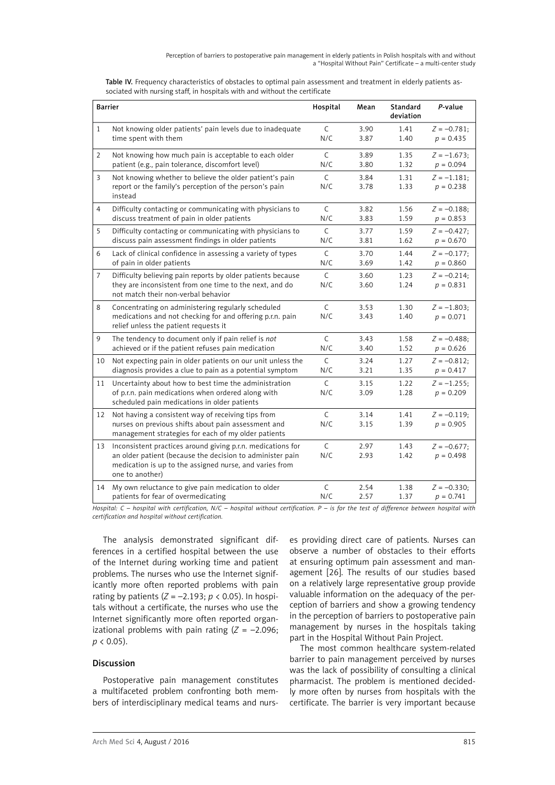|  | Table IV. Frequency characteristics of obstacles to optimal pain assessment and treatment in elderly patients as- |  |  |  |  |
|--|-------------------------------------------------------------------------------------------------------------------|--|--|--|--|
|  | sociated with nursing staff, in hospitals with and without the certificate                                        |  |  |  |  |

|                | <b>Barrier</b>                                                                                                                                                                                         | Hospital            | Mean         | Standard<br>deviation | P-value                       |
|----------------|--------------------------------------------------------------------------------------------------------------------------------------------------------------------------------------------------------|---------------------|--------------|-----------------------|-------------------------------|
| $\mathbf{1}$   | Not knowing older patients' pain levels due to inadequate                                                                                                                                              | C                   | 3.90         | 1.41                  | $Z = -0.781$ ;                |
|                | time spent with them                                                                                                                                                                                   | N/C                 | 3.87         | 1.40                  | $p = 0.435$                   |
| $\overline{2}$ | Not knowing how much pain is acceptable to each older                                                                                                                                                  | $\mathsf{C}$        | 3.89         | 1.35                  | $Z = -1.673;$                 |
|                | patient (e.g., pain tolerance, discomfort level)                                                                                                                                                       | N/C                 | 3.80         | 1.32                  | $p = 0.094$                   |
| 3              | Not knowing whether to believe the older patient's pain<br>report or the family's perception of the person's pain<br>instead                                                                           | $\mathsf{C}$<br>N/C | 3.84<br>3.78 | 1.31<br>1.33          | $Z = -1.181;$<br>$p = 0.238$  |
| 4              | Difficulty contacting or communicating with physicians to                                                                                                                                              | C                   | 3.82         | 1.56                  | $Z = -0.188$ ;                |
|                | discuss treatment of pain in older patients                                                                                                                                                            | N/C                 | 3.83         | 1.59                  | $p = 0.853$                   |
| 5              | Difficulty contacting or communicating with physicians to                                                                                                                                              | $\mathsf{C}$        | 3.77         | 1.59                  | $Z = -0.427$ ;                |
|                | discuss pain assessment findings in older patients                                                                                                                                                     | N/C                 | 3.81         | 1.62                  | $p = 0.670$                   |
| 6              | Lack of clinical confidence in assessing a variety of types                                                                                                                                            | $\mathsf{C}$        | 3.70         | 1.44                  | $Z = -0.177;$                 |
|                | of pain in older patients                                                                                                                                                                              | N/C                 | 3.69         | 1.42                  | $p = 0.860$                   |
| $\overline{7}$ | Difficulty believing pain reports by older patients because<br>they are inconsistent from one time to the next, and do<br>not match their non-verbal behavior                                          | C<br>N/C            | 3.60<br>3.60 | 1.23<br>1.24          | $Z = -0.214$ ;<br>$p = 0.831$ |
| 8              | Concentrating on administering regularly scheduled<br>medications and not checking for and offering p.r.n. pain<br>relief unless the patient requests it                                               | $\mathsf{C}$<br>N/C | 3.53<br>3.43 | 1.30<br>1.40          | $Z = -1.803$ ;<br>$p = 0.071$ |
| 9              | The tendency to document only if pain relief is not                                                                                                                                                    | C                   | 3.43         | 1.58                  | $Z = -0.488;$                 |
|                | achieved or if the patient refuses pain medication                                                                                                                                                     | N/C                 | 3.40         | 1.52                  | $p = 0.626$                   |
| 10             | Not expecting pain in older patients on our unit unless the                                                                                                                                            | $\mathsf{C}$        | 3.24         | 1.27                  | $Z = -0.812$ ;                |
|                | diagnosis provides a clue to pain as a potential symptom                                                                                                                                               | N/C                 | 3.21         | 1.35                  | $p = 0.417$                   |
| 11             | Uncertainty about how to best time the administration<br>of p.r.n. pain medications when ordered along with<br>scheduled pain medications in older patients                                            | $\mathsf{C}$<br>N/C | 3.15<br>3.09 | 1.22<br>1.28          | $Z = -1.255$ ;<br>$p = 0.209$ |
| 12             | Not having a consistent way of receiving tips from<br>nurses on previous shifts about pain assessment and<br>management strategies for each of my older patients                                       | C<br>N/C            | 3.14<br>3.15 | 1.41<br>1.39          | $Z = -0.119$ ;<br>$p = 0.905$ |
| 13             | Inconsistent practices around giving p.r.n. medications for<br>an older patient (because the decision to administer pain<br>medication is up to the assigned nurse, and varies from<br>one to another) | $\mathsf{C}$<br>N/C | 2.97<br>2.93 | 1.43<br>1.42          | $Z = -0.677$ ;<br>$p = 0.498$ |
| 14             | My own reluctance to give pain medication to older                                                                                                                                                     | C                   | 2.54         | 1.38                  | $Z = -0.330;$                 |
|                | patients for fear of overmedicating                                                                                                                                                                    | N/C                 | 2.57         | 1.37                  | $p = 0.741$                   |

*Hospital: C – hospital with certification, N/C – hospital without certification. P – is for the test of difference between hospital with certification and hospital without certification.*

The analysis demonstrated significant differences in a certified hospital between the use of the Internet during working time and patient problems. The nurses who use the Internet significantly more often reported problems with pain rating by patients  $(Z = -2.193; p < 0.05)$ . In hospitals without a certificate, the nurses who use the Internet significantly more often reported organizational problems with pain rating  $(Z = -2.096;$  $p \le 0.05$ ).

## Discussion

Postoperative pain management constitutes a multifaceted problem confronting both members of interdisciplinary medical teams and nurs-

es providing direct care of patients. Nurses can observe a number of obstacles to their efforts at ensuring optimum pain assessment and management [26]. The results of our studies based on a relatively large representative group provide valuable information on the adequacy of the perception of barriers and show a growing tendency in the perception of barriers to postoperative pain management by nurses in the hospitals taking part in the Hospital Without Pain Project.

The most common healthcare system-related barrier to pain management perceived by nurses was the lack of possibility of consulting a clinical pharmacist. The problem is mentioned decidedly more often by nurses from hospitals with the certificate. The barrier is very important because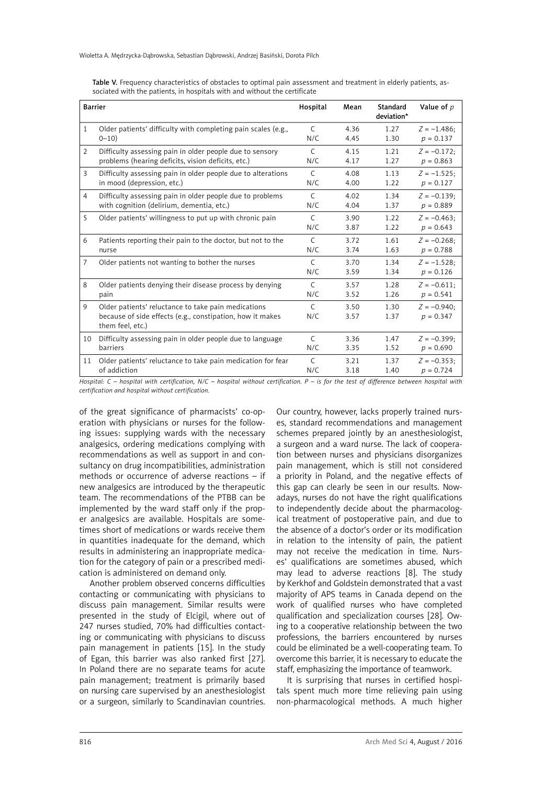|                | <b>Barrier</b>                                                                                                                       | Hospital             | Mean         | Standard<br>deviation* | Value of p                  |
|----------------|--------------------------------------------------------------------------------------------------------------------------------------|----------------------|--------------|------------------------|-----------------------------|
| $\mathbf{1}$   | Older patients' difficulty with completing pain scales (e.g.,                                                                        | $\mathsf{C}$         | 4.36         | 1.27                   | $Z = -1.486$                |
|                | $0 - 10$                                                                                                                             | N/C                  | 4.45         | 1.30                   | $p = 0.137$                 |
| $\overline{2}$ | Difficulty assessing pain in older people due to sensory                                                                             | $\mathcal{C}$        | 4.15         | 1.21                   | $Z = -0.172$                |
|                | problems (hearing deficits, vision deficits, etc.)                                                                                   | N/C                  | 4.17         | 1.27                   | $p = 0.863$                 |
| 3              | Difficulty assessing pain in older people due to alterations                                                                         | $\mathsf{C}$         | 4.08         | 1.13                   | $Z = -1.525$ ;              |
|                | in mood (depression, etc.)                                                                                                           | N/C                  | 4.00         | 1.22                   | $p = 0.127$                 |
| 4              | Difficulty assessing pain in older people due to problems                                                                            | $\mathcal{C}$        | 4.02         | 1.34                   | $Z = -0.139$                |
|                | with cognition (delirium, dementia, etc.)                                                                                            | N/C                  | 4.04         | 1.37                   | $p = 0.889$                 |
| 5              | Older patients' willingness to put up with chronic pain                                                                              | $\mathcal{C}$<br>N/C | 3.90<br>3.87 | 1.22<br>1.22           | $Z = -0.463$<br>$p = 0.643$ |
| 6              | Patients reporting their pain to the doctor, but not to the                                                                          | $\mathcal{C}$        | 3.72         | 1.61                   | $Z = -0.268$                |
|                | nurse                                                                                                                                | N/C                  | 3.74         | 1.63                   | $p = 0.788$                 |
| $\overline{7}$ | Older patients not wanting to bother the nurses                                                                                      | $\mathcal{C}$<br>N/C | 3.70<br>3.59 | 1.34<br>1.34           | $Z = -1.528$<br>$p = 0.126$ |
| 8              | Older patients denying their disease process by denying                                                                              | $\mathcal{C}$        | 3.57         | 1.28                   | $Z = -0.611$ :              |
|                | pain                                                                                                                                 | N/C                  | 3.52         | 1.26                   | $p = 0.541$                 |
| 9              | Older patients' reluctance to take pain medications<br>because of side effects (e.g., constipation, how it makes<br>them feel, etc.) | $\mathcal{C}$<br>N/C | 3.50<br>3.57 | 1.30<br>1.37           | $Z = -0.940$<br>$p = 0.347$ |
| 10             | Difficulty assessing pain in older people due to language                                                                            | $\mathsf{C}$         | 3.36         | 1.47                   | $Z = -0.399$                |
|                | barriers                                                                                                                             | N/C                  | 3.35         | 1.52                   | $p = 0.690$                 |
| 11             | Older patients' reluctance to take pain medication for fear                                                                          | $\mathsf{C}$         | 3.21         | 1.37                   | $Z = -0.353$ ;              |
|                | of addiction                                                                                                                         | N/C                  | 3.18         | 1.40                   | $p = 0.724$                 |

Table V. Frequency characteristics of obstacles to optimal pain assessment and treatment in elderly patients, associated with the patients, in hospitals with and without the certificate

*Hospital: C – hospital with certification, N/C – hospital without certification. P – is for the test of difference between hospital with certification and hospital without certification.*

of the great significance of pharmacists' co-operation with physicians or nurses for the following issues: supplying wards with the necessary analgesics, ordering medications complying with recommendations as well as support in and consultancy on drug incompatibilities, administration methods or occurrence of adverse reactions – if new analgesics are introduced by the therapeutic team. The recommendations of the PTBB can be implemented by the ward staff only if the proper analgesics are available. Hospitals are sometimes short of medications or wards receive them in quantities inadequate for the demand, which results in administering an inappropriate medication for the category of pain or a prescribed medication is administered on demand only.

Another problem observed concerns difficulties contacting or communicating with physicians to discuss pain management. Similar results were presented in the study of Elcigil, where out of 247 nurses studied, 70% had difficulties contacting or communicating with physicians to discuss pain management in patients [15]. In the study of Egan, this barrier was also ranked first [27]. In Poland there are no separate teams for acute pain management; treatment is primarily based on nursing care supervised by an anesthesiologist or a surgeon, similarly to Scandinavian countries.

Our country, however, lacks properly trained nurses, standard recommendations and management schemes prepared jointly by an anesthesiologist, a surgeon and a ward nurse. The lack of cooperation between nurses and physicians disorganizes pain management, which is still not considered a priority in Poland, and the negative effects of this gap can clearly be seen in our results. Nowadays, nurses do not have the right qualifications to independently decide about the pharmacological treatment of postoperative pain, and due to the absence of a doctor's order or its modification in relation to the intensity of pain, the patient may not receive the medication in time. Nurses' qualifications are sometimes abused, which may lead to adverse reactions [8]. The study by Kerkhof and Goldstein demonstrated that a vast majority of APS teams in Canada depend on the work of qualified nurses who have completed qualification and specialization courses [28]. Owing to a cooperative relationship between the two professions, the barriers encountered by nurses could be eliminated be a well-cooperating team. To overcome this barrier, it is necessary to educate the staff, emphasizing the importance of teamwork.

It is surprising that nurses in certified hospitals spent much more time relieving pain using non-pharmacological methods. A much higher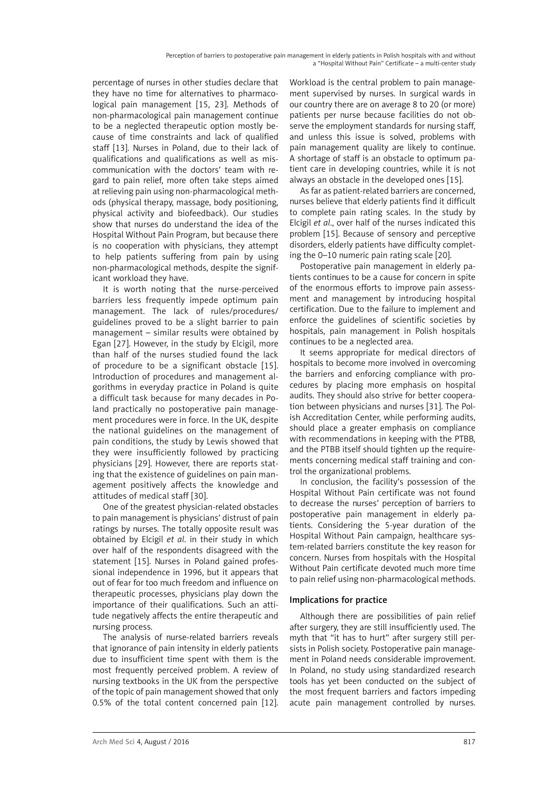percentage of nurses in other studies declare that they have no time for alternatives to pharmacological pain management [15, 23]. Methods of non-pharmacological pain management continue to be a neglected therapeutic option mostly because of time constraints and lack of qualified staff [13]. Nurses in Poland, due to their lack of qualifications and qualifications as well as miscommunication with the doctors' team with regard to pain relief, more often take steps aimed at relieving pain using non-pharmacological methods (physical therapy, massage, body positioning, physical activity and biofeedback). Our studies show that nurses do understand the idea of the Hospital Without Pain Program, but because there is no cooperation with physicians, they attempt to help patients suffering from pain by using non-pharmacological methods, despite the significant workload they have.

It is worth noting that the nurse-perceived barriers less frequently impede optimum pain management. The lack of rules/procedures/ guidelines proved to be a slight barrier to pain management – similar results were obtained by Egan [27]. However, in the study by Elcigil, more than half of the nurses studied found the lack of procedure to be a significant obstacle [15]. Introduction of procedures and management algorithms in everyday practice in Poland is quite a difficult task because for many decades in Poland practically no postoperative pain management procedures were in force. In the UK, despite the national guidelines on the management of pain conditions, the study by Lewis showed that they were insufficiently followed by practicing physicians [29]. However, there are reports stating that the existence of guidelines on pain management positively affects the knowledge and attitudes of medical staff [30].

One of the greatest physician-related obstacles to pain management is physicians' distrust of pain ratings by nurses. The totally opposite result was obtained by Elcigil *et al*. in their study in which over half of the respondents disagreed with the statement [15]. Nurses in Poland gained professional independence in 1996, but it appears that out of fear for too much freedom and influence on therapeutic processes, physicians play down the importance of their qualifications. Such an attitude negatively affects the entire therapeutic and nursing process.

The analysis of nurse-related barriers reveals that ignorance of pain intensity in elderly patients due to insufficient time spent with them is the most frequently perceived problem. A review of nursing textbooks in the UK from the perspective of the topic of pain management showed that only 0.5% of the total content concerned pain [12]. Workload is the central problem to pain management supervised by nurses. In surgical wards in our country there are on average 8 to 20 (or more) patients per nurse because facilities do not observe the employment standards for nursing staff, and unless this issue is solved, problems with pain management quality are likely to continue. A shortage of staff is an obstacle to optimum patient care in developing countries, while it is not always an obstacle in the developed ones [15].

As far as patient-related barriers are concerned, nurses believe that elderly patients find it difficult to complete pain rating scales. In the study by Elcigil *et al*., over half of the nurses indicated this problem [15]. Because of sensory and perceptive disorders, elderly patients have difficulty completing the 0–10 numeric pain rating scale [20].

Postoperative pain management in elderly patients continues to be a cause for concern in spite of the enormous efforts to improve pain assessment and management by introducing hospital certification. Due to the failure to implement and enforce the guidelines of scientific societies by hospitals, pain management in Polish hospitals continues to be a neglected area.

It seems appropriate for medical directors of hospitals to become more involved in overcoming the barriers and enforcing compliance with procedures by placing more emphasis on hospital audits. They should also strive for better cooperation between physicians and nurses [31]. The Polish Accreditation Center, while performing audits, should place a greater emphasis on compliance with recommendations in keeping with the PTBB, and the PTBB itself should tighten up the requirements concerning medical staff training and control the organizational problems.

In conclusion, the facility's possession of the Hospital Without Pain certificate was not found to decrease the nurses' perception of barriers to postoperative pain management in elderly patients. Considering the 5-year duration of the Hospital Without Pain campaign, healthcare system-related barriers constitute the key reason for concern. Nurses from hospitals with the Hospital Without Pain certificate devoted much more time to pain relief using non-pharmacological methods.

## Implications for practice

Although there are possibilities of pain relief after surgery, they are still insufficiently used. The myth that "it has to hurt" after surgery still persists in Polish society. Postoperative pain management in Poland needs considerable improvement. In Poland, no study using standardized research tools has yet been conducted on the subject of the most frequent barriers and factors impeding acute pain management controlled by nurses.